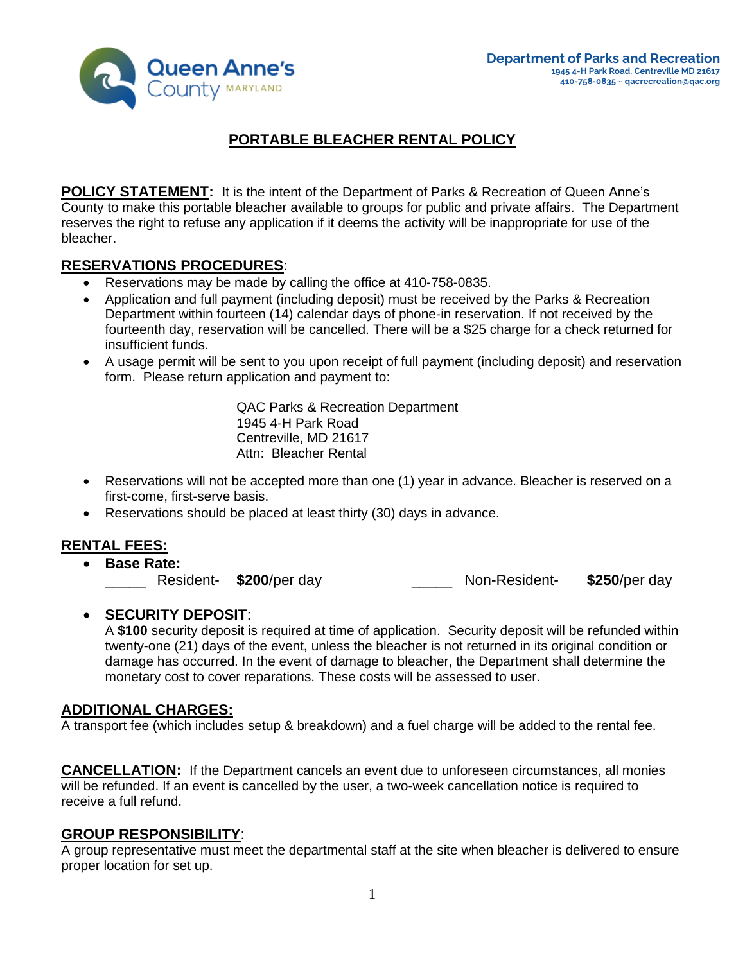

# **PORTABLE BLEACHER RENTAL POLICY**

**POLICY STATEMENT:** It is the intent of the Department of Parks & Recreation of Queen Anne's County to make this portable bleacher available to groups for public and private affairs. The Department reserves the right to refuse any application if it deems the activity will be inappropriate for use of the bleacher.

### **RESERVATIONS PROCEDURES**:

- Reservations may be made by calling the office at 410-758-0835.
- Application and full payment (including deposit) must be received by the Parks & Recreation Department within fourteen (14) calendar days of phone-in reservation. If not received by the fourteenth day, reservation will be cancelled. There will be a \$25 charge for a check returned for insufficient funds.
- A usage permit will be sent to you upon receipt of full payment (including deposit) and reservation form. Please return application and payment to:

QAC Parks & Recreation Department 1945 4-H Park Road Centreville, MD 21617 Attn: Bleacher Rental

- Reservations will not be accepted more than one (1) year in advance. Bleacher is reserved on a first-come, first-serve basis.
- Reservations should be placed at least thirty (30) days in advance.

### **RENTAL FEES:**

• **Base Rate:** \_\_\_\_\_ Resident- **\$200**/per day \_\_\_\_\_ Non-Resident- **\$250**/per day

### • **SECURITY DEPOSIT**:

A **\$100** security deposit is required at time of application. Security deposit will be refunded within twenty-one (21) days of the event, unless the bleacher is not returned in its original condition or damage has occurred. In the event of damage to bleacher, the Department shall determine the monetary cost to cover reparations. These costs will be assessed to user.

### **ADDITIONAL CHARGES:**

A transport fee (which includes setup & breakdown) and a fuel charge will be added to the rental fee.

**CANCELLATION:** If the Department cancels an event due to unforeseen circumstances, all monies will be refunded. If an event is cancelled by the user, a two-week cancellation notice is required to receive a full refund.

#### **GROUP RESPONSIBILITY**:

A group representative must meet the departmental staff at the site when bleacher is delivered to ensure proper location for set up.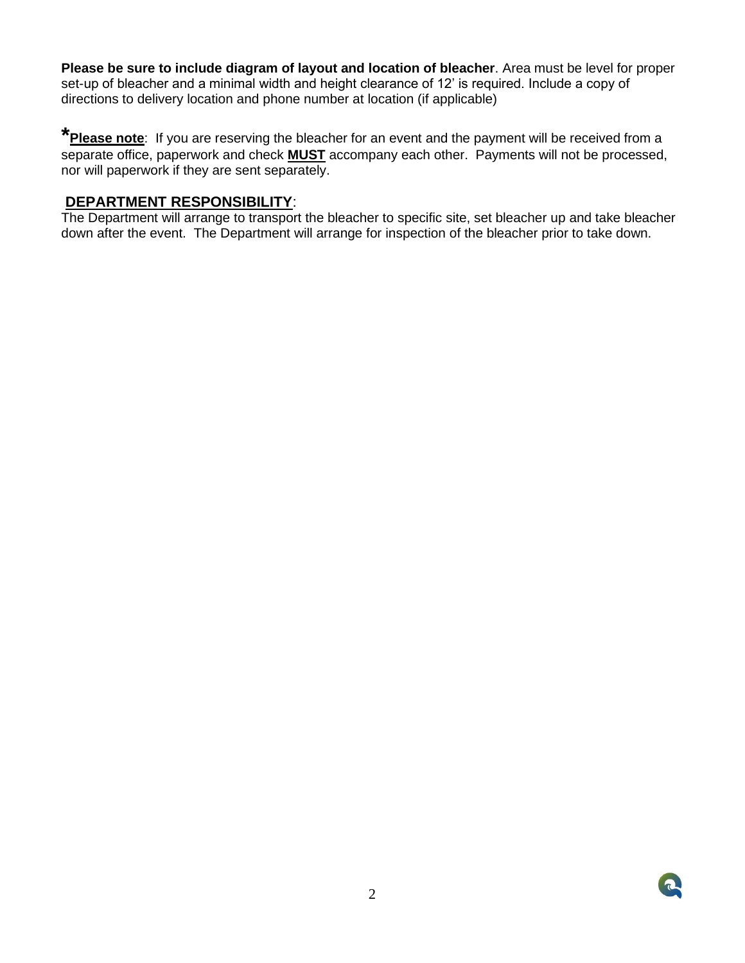**Please be sure to include diagram of layout and location of bleacher**. Area must be level for proper set-up of bleacher and a minimal width and height clearance of 12' is required. Include a copy of directions to delivery location and phone number at location (if applicable)

**\*Please note**: If you are reserving the bleacher for an event and the payment will be received from a separate office, paperwork and check **MUST** accompany each other. Payments will not be processed, nor will paperwork if they are sent separately.

### **DEPARTMENT RESPONSIBILITY**:

The Department will arrange to transport the bleacher to specific site, set bleacher up and take bleacher down after the event. The Department will arrange for inspection of the bleacher prior to take down.